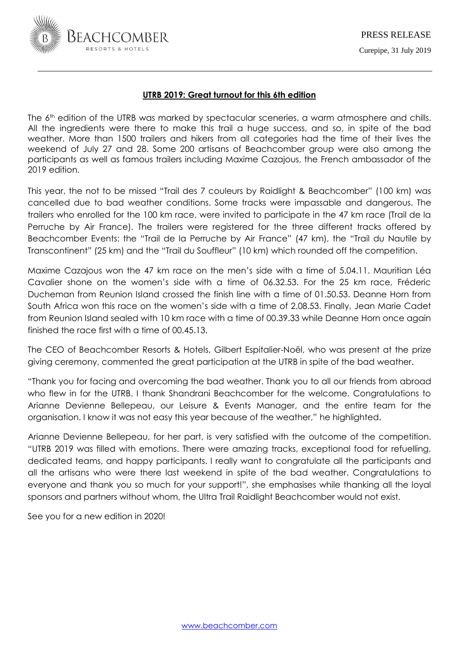

# **UTRB 2019: Great turnout for this 6th edition**

The 6<sup>th</sup> edition of the UTRB was marked by spectacular sceneries, a warm atmosphere and chills. All the ingredients were there to make this trail a huge success, and so, in spite of the bad weather. More than 1500 trailers and hikers from all categories had the time of their lives the weekend of July 27 and 28. Some 200 artisans of Beachcomber group were also among the participants as well as famous trailers including Maxime Cazajous, the French ambassador of the 2019 edition.

This year, the not to be missed "Trail des 7 couleurs by Raidlight & Beachcomber" (100 km) was cancelled due to bad weather conditions. Some tracks were impassable and dangerous. The trailers who enrolled for the 100 km race, were invited to participate in the 47 km race (Trail de la Perruche by Air France). The trailers were registered for the three different tracks offered by Beachcomber Events: the "Trail de la Perruche by Air France" (47 km), the "Trail du Nautile by Transcontinent" (25 km) and the "Trail du Souffleur" (10 km) which rounded off the competition.

Maxime Cazajous won the 47 km race on the men's side with a time of 5.04.11. Mauritian Léa Cavalier shone on the women's side with a time of 06.32.53. For the 25 km race, Fréderic Ducheman from Reunion Island crossed the finish line with a time of 01.50.53. Deanne Horn from South Africa won this race on the women's side with a time of 2.08.53. Finally, Jean Marie Cadet from Reunion Island sealed with 10 km race with a time of 00.39.33 while Deanne Horn once again finished the race first with a time of 00.45.13.

The CEO of Beachcomber Resorts & Hotels, Gilbert Espitalier-Noël, who was present at the prize giving ceremony, commented the great participation at the UTRB in spite of the bad weather.

"Thank you for facing and overcoming the bad weather. Thank you to all our friends from abroad who flew in for the UTRB. I thank Shandrani Beachcomber for the welcome. Congratulations to Arianne Devienne Bellepeau, our Leisure & Events Manager, and the entire team for the organisation. I know it was not easy this year because of the weather," he highlighted.

Arianne Devienne Bellepeau, for her part, is very satisfied with the outcome of the competition. "UTRB 2019 was filled with emotions. There were amazing tracks, exceptional food for refuelling, dedicated teams, and happy participants. I really want to congratulate all the participants and all the artisans who were there last weekend in spite of the bad weather. Congratulations to everyone and thank you so much for your support!", she emphasises while thanking all the loyal sponsors and partners without whom, the Ultra Trail Raidlight Beachcomber would not exist.

See you for a new edition in 2020!